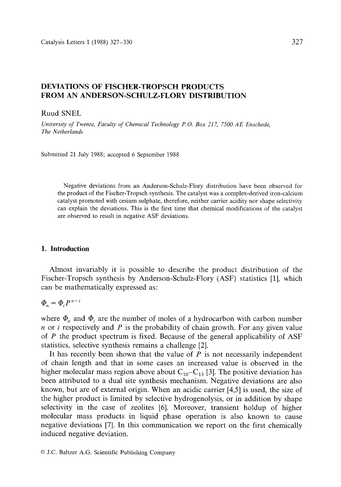# DEVIATIONS OF FISCHER-TROPSCH PRODUCTS **FROM AN ANDERSON-SCHULZ-FLORY** DISTRIBUTION

## Ruud SNEL

*University of Twente, Faculty of Chemical Technology P.O. Box 217, 7500 AE Enschede, The Netherlands* 

Submitted 21 July 1988; accepted 6 September 1988

Negative deviations from an Anderson-Schulz-Flory distribution have been observed for the product of the Fischer-Tropsch synthesis. The catalyst was a complex-derived iron-calcium catalyst promoted with cesium sulphate, therefore, neither carrier acidity nor shape selectivity can explain the deviations. This is the first time that chemical modifications of the catalyst are observed to result in negative ASF deviations.

#### **1. Introduction**

Almost invariably it is possible to describe the product distribution of the Fischer-Tropsch synthesis by Anderson-Schulz-Flory (ASF) statistics [1], which can be mathematically expressed as:

 $\Phi_n = \Phi_i P^{n-i}$ 

where  $\Phi_n$  and  $\Phi_i$  are the number of moles of a hydrocarbon with carbon number  $n$  or *i* respectively and  $P$  is the probability of chain growth. For any given value of P the product spectrum is fixed. Because of the general applicability of ASF statistics, selective synthesis remains a challenge [2].

It has recently been shown that the value of  $P$  is not necessarily independent of chain length and that in some cases an increased value is observed in the higher molecular mass region above about  $C_{10}-C_{13}$  [3]. The positive deviation has been attributed to a dual site synthesis mechanism. Negative deviations are also known, but are of external origin. When an acidic carrier [4,5] is used, the size of the higher product is limited by selective hydrogenolysis, or in addition by shape selectivity in the case of zeolites [6]. Moreover, transient holdup of higher molecular mass products in liquid phase operation is also known to cause negative deviations [7]. In this communication we report on the first chemically induced negative deviation.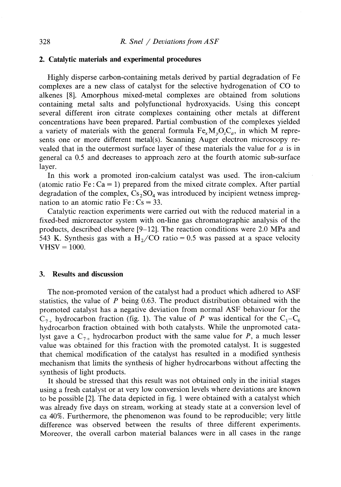#### **2. Catalytic materials and experimental procedures**

Highly disperse carbon-containing metals derived by partial degradation of Fe complexes are a new class of catalyst for the selective hydrogenation of CO to alkenes [8]. Amorphous mixed-metal complexes are obtained from solutions containing metal salts and polyfunctional hydroxyacids. Using this concept several different iron citrate complexes containing other metals at different concentrations have been prepared. Partial combustion of the complexes yielded a variety of materials with the general formula  $Fe<sub>x</sub>M<sub>y</sub>O<sub>z</sub>C<sub>a</sub>$ , in which M represents one or more different metal(s). Scanning Auger electron microscopy revealed that in the outermost surface layer of these materials the value for  $a$  is in general ca 0.5 and decreases to approach zero at the fourth atomic sub-surface layer.

In this work a promoted iron-calcium catalyst was used. The iron-calcium (atomic ratio Fe :  $Ca = 1$ ) prepared from the mixed citrate complex. After partial degradation of the complex,  $Cs_2SO_4$  was introduced by incipient wetness impregnation to an atomic ratio  $Fe: Cs = 33$ .

Catalytic reaction experiments were carried out with the reduced material in a fixed-bed microreactor system with on-line gas chromatographic analysis of the products, described elsewhere [9-12]. The reaction conditions were 2.0 MPa and 543 K. Synthesis gas with a H<sub>2</sub>/CO ratio = 0.5 was passed at a space velocity  $V$ HSV = 1000.

### **3. Results and discussion**

The non-promoted version of the catalyst had a product which adhered to ASF statistics, the value of P being 0.63. The product distribution obtained with the promoted catalyst has a negative deviation from normal ASF behaviour for the  $C_{7+}$  hydrocarbon fraction (fig. 1). The value of P was identical for the  $C_1-C_6$ hydrocarbon fraction obtained with both catalysts. While the unpromoted catalyst gave a  $C_{7+}$  hydrocarbon product with the same value for P, a much lesser value was obtained for this fraction with the promoted catalyst. It is suggested that chemical modification of the catalyst has resulted in a modified synthesis mechanism that limits the synthesis of higher hydrocarbons without affecting the synthesis of light products.

It should be stressed that this result was not obtained only in the initial stages using a fresh catalyst or at very low conversion levels where deviations are known to be possible [2]. The data depicted in fig. 1 were obtained with a catalyst which was already five days on stream, working at steady state at a conversion level of ca 40%. Furthermore, the phenomenon was found to be reproducible; very little difference was observed between the results of three different experiments. Moreover, the overall carbon material balances were in all cases in the range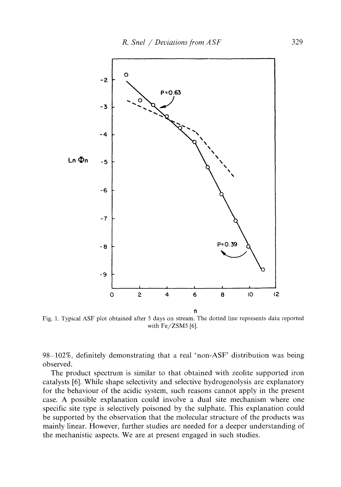

Fig. 1. Typical ASF plot obtained after 5 days on stream. The dotted line represents data reported with Fe/ZSM5 [6].

98-102%, definitely demonstrating that a real 'non-ASF' distribution was being observed.

The product spectrum is similar to that obtained with zeolite supported iron catalysts [6]. While shape selectivity and selective hydrogenolysis are explanatory for the behaviour of the acidic system, such reasons cannot apply in the present case. A possible explanation could involve a dual site mechanism where one specific site type is selectively poisoned by the sulphate. This explanation could be supported by the observation that the molecular structure of the products was mainly linear. However, further studies are needed for a deeper understanding of the mechanistic aspects. We are at present engaged in such studies.